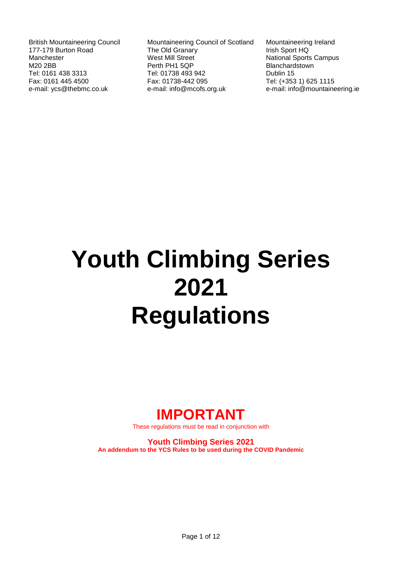British Mountaineering Council 177-179 Burton Road Manchester M20 2BB Tel: 0161 438 3313 Fax: 0161 445 4500 e-mail: ycs@thebmc.co.uk

Mountaineering Council of Scotland The Old Granary West Mill Street Perth PH1 5QP Tel: 01738 493 942 Fax: 01738-442 095 e-mail: info@mcofs.org.uk

Mountaineering Ireland Irish Sport HQ National Sports Campus Blanchardstown Dublin 15 Tel: (+353 1) 625 1115 e-mail: info@mountaineering.ie

# **Youth Climbing Series 2021 Regulations**

# **IMPORTANT**

These regulations must be read in conjunction with

**Youth Climbing Series 2021 An addendum to the YCS Rules to be used during the COVID Pandemic**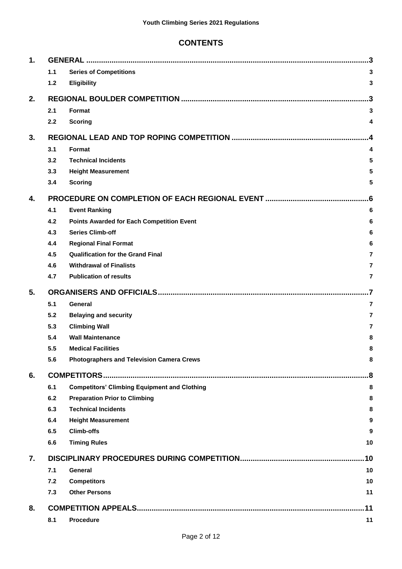# **CONTENTS**

| 1. |     |                                                     | 3              |  |  |  |  |  |  |
|----|-----|-----------------------------------------------------|----------------|--|--|--|--|--|--|
|    | 1.1 | <b>Series of Competitions</b>                       | 3              |  |  |  |  |  |  |
|    | 1.2 | <b>Eligibility</b>                                  | 3              |  |  |  |  |  |  |
| 2. |     |                                                     |                |  |  |  |  |  |  |
|    | 2.1 | Format                                              | 3              |  |  |  |  |  |  |
|    | 2.2 | <b>Scoring</b>                                      | 4              |  |  |  |  |  |  |
| 3. |     |                                                     |                |  |  |  |  |  |  |
|    | 3.1 | Format                                              | 4              |  |  |  |  |  |  |
|    | 3.2 | <b>Technical Incidents</b>                          | 5              |  |  |  |  |  |  |
|    | 3.3 | <b>Height Measurement</b>                           | 5              |  |  |  |  |  |  |
|    | 3.4 | <b>Scoring</b>                                      | 5              |  |  |  |  |  |  |
| 4. |     |                                                     |                |  |  |  |  |  |  |
|    | 4.1 | <b>Event Ranking</b>                                | 6              |  |  |  |  |  |  |
|    | 4.2 | <b>Points Awarded for Each Competition Event</b>    | 6              |  |  |  |  |  |  |
|    | 4.3 | <b>Series Climb-off</b>                             | 6              |  |  |  |  |  |  |
|    | 4.4 | <b>Regional Final Format</b>                        | 6              |  |  |  |  |  |  |
|    | 4.5 | <b>Qualification for the Grand Final</b>            | 7              |  |  |  |  |  |  |
|    | 4.6 | <b>Withdrawal of Finalists</b>                      | $\overline{7}$ |  |  |  |  |  |  |
|    | 4.7 | <b>Publication of results</b>                       | $\overline{7}$ |  |  |  |  |  |  |
| 5. |     | .7                                                  |                |  |  |  |  |  |  |
|    | 5.1 | General                                             | $\overline{7}$ |  |  |  |  |  |  |
|    | 5.2 | <b>Belaying and security</b>                        | $\overline{7}$ |  |  |  |  |  |  |
|    | 5.3 | <b>Climbing Wall</b>                                | $\overline{7}$ |  |  |  |  |  |  |
|    | 5.4 | <b>Wall Maintenance</b>                             | 8              |  |  |  |  |  |  |
|    | 5.5 | <b>Medical Facilities</b>                           | 8              |  |  |  |  |  |  |
|    | 5.6 | <b>Photographers and Television Camera Crews</b>    | 8              |  |  |  |  |  |  |
| 6. | 8.  |                                                     |                |  |  |  |  |  |  |
|    | 6.1 | <b>Competitors' Climbing Equipment and Clothing</b> | 8              |  |  |  |  |  |  |
|    | 6.2 | <b>Preparation Prior to Climbing</b>                | 8              |  |  |  |  |  |  |
|    | 6.3 | <b>Technical Incidents</b>                          | 8              |  |  |  |  |  |  |
|    | 6.4 | <b>Height Measurement</b>                           | 9              |  |  |  |  |  |  |
|    | 6.5 | <b>Climb-offs</b>                                   | 9              |  |  |  |  |  |  |
|    | 6.6 | <b>Timing Rules</b>                                 | 10             |  |  |  |  |  |  |
| 7. |     | .10                                                 |                |  |  |  |  |  |  |
|    | 7.1 | General                                             | 10             |  |  |  |  |  |  |
|    | 7.2 | <b>Competitors</b>                                  | 10             |  |  |  |  |  |  |
|    | 7.3 | <b>Other Persons</b>                                | 11             |  |  |  |  |  |  |
| 8. |     |                                                     | .11            |  |  |  |  |  |  |
|    | 8.1 | <b>Procedure</b>                                    | 11             |  |  |  |  |  |  |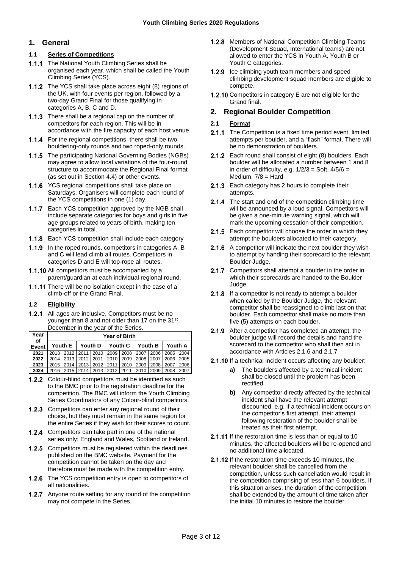# <span id="page-2-0"></span>**1. General**

# <span id="page-2-1"></span>**1.1 Series of Competitions**

- 1.1.1 The National Youth Climbing Series shall be organised each year, which shall be called the Youth Climbing Series (YCS).
- 1.1.2 The YCS shall take place across eight (8) regions of the UK, with four events per region, followed by a two-day Grand Final for those qualifying in categories A, B, C and D.
- 1.1.3 There shall be a regional cap on the number of competitors for each region. This will be in accordance with the fire capacity of each host venue.
- 1.1.4 For the regional competitions, there shall be two bouldering-only rounds and two roped-only rounds.
- 1.1.5 The participating National Governing Bodies (NGBs) may agree to allow local variations of the four-round structure to accommodate the Regional Final format (as set out in Sectio[n 4.4\)](#page-5-4) or other events.
- 1.1.6 YCS regional competitions shall take place on Saturdays. Organisers will complete each round of the YCS competitions in one (1) day.
- 1.1.7 Each YCS competition approved by the NGB shall include separate categories for boys and girls in five age groups related to years of birth, making ten categories in total.
- 1.1.8 Each YCS competition shall include each category
- 1.1.9 In the roped rounds, competitors in categories A, B and C will lead climb all routes. Competitors in categories D and E will top-rope all routes.
- 1.1.10 All competitors must be accompanied by a parent/guardian at each individual regional round.
- 1.1.11 There will be no isolation except in the case of a climb-off or the Grand Final.

# <span id="page-2-2"></span>**1.2 Eligibility**

1.2.1 All ages are inclusive. Competitors must be no younger than 8 and not older than 17 on the 31<sup>st</sup> December in the year of the Series.

| Year<br>of | <b>Year of Birth</b> |             |                                                |  |                     |      |         |      |         |      |  |
|------------|----------------------|-------------|------------------------------------------------|--|---------------------|------|---------|------|---------|------|--|
| Event      | Youth E              |             | Youth D                                        |  | Youth C             |      | Youth B |      | Youth A |      |  |
| 2021       |                      |             | 2013   2012   2011   2010   2009   2008   2007 |  |                     |      |         | 2006 | 2005    | 2004 |  |
| 2022       |                      | 2014 2013   |                                                |  | 2012 2011 2010 2009 |      | 2008    | 2007 | 2006    | 2005 |  |
| 2023       | 2015 2014            |             | 2013                                           |  | 2012 2011           | 2010 | 2009    | 2008 | 2007    | 2006 |  |
| 2024       |                      | 2016   2015 | 2014                                           |  | 2013 2012 2011 2010 |      |         | 2009 | 2008    | 2007 |  |

- $1.2.2$ Colour-blind competitors must be identified as such to the BMC prior to the registration deadline for the competition. The BMC will inform the Youth Climbing Series Coordinators of any Colour-blind competitors.
- 1.2.3 Competitors can enter any regional round of their choice, but they must remain in the same region for the entire Series if they wish for their scores to count.
- 1.2.4 Competitors can take part in one of the national series only; England and Wales, Scotland or Ireland.
- 1.2.5 Competitors must be registered within the deadlines published on the BMC website. Payment for the competition cannot be taken on the day and therefore must be made with the competition entry.
- 1.2.6 The YCS competition entry is open to competitors of all nationalities.
- **1.2.7** Anyone route setting for any round of the competition may not compete in the Series.
- 1.2.8 Members of National Competition Climbing Teams (Development Squad, International teams) are not allowed to enter the YCS in Youth A, Youth B or Youth C categories.
- 1.2.9 Ice climbing youth team members and speed climbing development squad members are eligible to compete.
- 1.2.10 Competitors in category E are not eligible for the Grand final.

# <span id="page-2-3"></span>**2. Regional Boulder Competition**

# <span id="page-2-4"></span>**2.1 Format**

- 2.1.1 The Competition is a fixed time period event, limited attempts per boulder, and a "flash" format. There will be no demonstration of boulders.
- 2.1.2 Each round shall consist of eight (8) boulders. Each boulder will be allocated a number between 1 and 8 in order of difficulty, e.g.  $1/2/3 =$  Soft,  $4/5/6 =$ Medium, 7/8 = Hard
- 2.1.3 Each category has 2 hours to complete their attempts.
- 2.1.4 The start and end of the competition climbing time will be announced by a loud signal. Competitors will be given a one-minute warning signal, which will mark the upcoming cessation of their competition.
- 2.1.5 Each competitor will choose the order in which they attempt the boulders allocated to their category.
- <span id="page-2-5"></span>2.1.6 A competitor will indicate the next boulder they wish to attempt by handing their scorecard to the relevant Boulder Judge.
- <span id="page-2-6"></span>2.1.7 Competitors shall attempt a boulder in the order in which their scorecards are handed to the Boulder Judge.
- 2.1.8 If a competitor is not ready to attempt a boulder when called by the Boulder Judge, the relevant competitor shall be reassigned to climb last on that boulder. Each competitor shall make no more than five (5) attempts on each boulder.
- 2.1.9 After a competitor has completed an attempt, the boulder judge will record the details and hand the scorecard to the competitor who shall then act in accordance with Article[s 2.1.6](#page-2-5) and [2.1.7](#page-2-6)
- 2.1.10 If a technical incident occurs affecting any boulder:
	- **a)** The boulders affected by a technical incident shall be closed until the problem has been rectified.
	- **b)** Any competitor directly affected by the technical incident shall have the relevant attempt discounted. e.g. if a technical incident occurs on the competitor's first attempt, their attempt following restoration of the boulder shall be treated as their first attempt.
- 2.1.11 If the restoration time is less than or equal to 10 minutes, the affected boulders will be re-opened and no additional time allocated.
- 2.1.12 If the restoration time exceeds 10 minutes, the relevant boulder shall be cancelled from the competition, unless such cancellation would result in the competition comprising of less than 6 boulders. If this situation arises, the duration of the competition shall be extended by the amount of time taken after the initial 10 minutes to restore the boulder.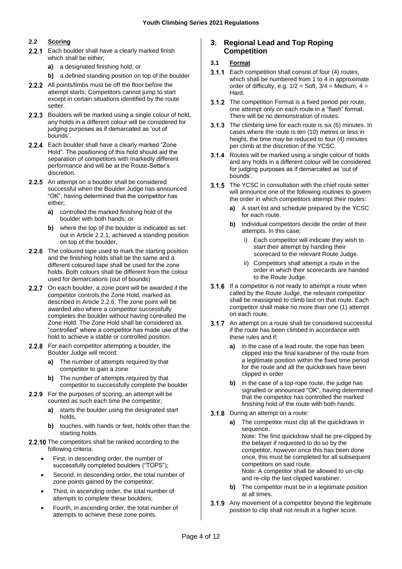# <span id="page-3-0"></span>**2.2 Scoring**

- 2.2.1 Each boulder shall have a clearly marked finish which shall be either;
	- **a)** a designated finishing hold; or
	- **b)** a defined standing position on top of the boulder
- 2.2.2 All points/limbs must be off the floor before the attempt starts; Competitors cannot jump to start except in certain situations identified by the route setter.
- 2.2.3 Boulders will be marked using a single colour of hold, any holds in a different colour will be considered for judging purposes as if demarcated as 'out of bounds'.
- 2.2.4 Each boulder shall have a clearly marked "Zone Hold". The positioning of this hold should aid the separation of competitors with markedly different performance and will be at the Route-Setter's discretion.
- 2.2.5 An attempt on a boulder shall be considered successful when the Boulder Judge has announced "OK", having determined that the competitor has either;
	- **a)** controlled the marked finishing hold of the boulder with both hands; or
	- **b)** where the top of the boulder is indicated as set out in Article 2.2.1, achieved a standing position on top of the boulder,
- <span id="page-3-3"></span>2.2.6 The coloured tape used to mark the starting position and the finishing holds shall be the same and a different coloured tape shall be used for the zone holds. Both colours shall be different from the colour used for demarcations (out of bounds)
- 2.2.7 On each boulder, a zone point will be awarded if the competitor controls the Zone Hold, marked as described in Articl[e 2.2.6.](#page-3-3) The zone point will be awarded also where a competitor successfully completes the boulder without having controlled the Zone Hold. The Zone Hold shall be considered as "controlled" where a competitor has made use of the hold to achieve a stable or controlled position.
- 2.2.8 For each competitor attempting a boulder, the Boulder Judge will record:
	- **a)** The number of attempts required by that competitor to gain a zone
	- **b)** The number of attempts required by that competitor to successfully complete the boulder
- 2.2.9 For the purposes of scoring, an attempt will be counted as such each time the competitor;
	- **a)** starts the boulder using the designated start holds,
	- **b)** touches, with hands or feet, holds other than the starting holds.
- 2.2.10 The competitors shall be ranked according to the following criteria:
	- First, in descending order, the number of successfully completed boulders ("TOPS");
	- Second, in descending order, the total number of zone points gained by the competitor;
	- Third, in ascending order, the total number of attempts to complete these boulders;
	- Fourth, in ascending order, the total number of attempts to achieve these zone points.

# <span id="page-3-1"></span>**3. Regional Lead and Top Roping Competition**

# <span id="page-3-2"></span>**3.1 Format**

- **3.1.1** Each competition shall consist of four (4) routes, which shall be numbered from 1 to 4 in approximate order of difficulty, e.g.  $1/2 =$  Soft,  $3/4 =$  Medium,  $4 =$ Hard.
- **3.1.2** The competition Format is a fixed period per route, one attempt only on each route in a "flash" format. There will be no demonstration of routes.
- **3.1.3** The climbing time for each route is six (6) minutes. In cases where the route is ten (10) metres or less in height, the time may be reduced to four (4) minutes per climb at the discretion of the YCSC.
- 3.1.4 Routes will be marked using a single colour of holds and any holds in a different colour will be considered for judging purposes as if demarcated as 'out of bounds'.
- **3.1.5** The YCSC in consultation with the chief route setter will announce one of the following routines to govern the order in which competitors attempt their routes:
	- **a)** A start list and schedule prepared by the YCSC for each route.
	- **b)** Individual competitors decide the order of their attempts. In this case;
		- i) Each competitor will indicate they wish to start their attempt by handing their scorecard to the relevant Route Judge.
		- ii) Competitors shall attempt a route in the order in which their scorecards are handed to the Route Judge.
- **3.1.6** If a competitor is not ready to attempt a route when called by the Route Judge, the relevant competitor shall be reassigned to climb last on that route. Each competitor shall make no more than one (1) attempt on each route.
- 3.1.7 An attempt on a route shall be considered successful. if the route has been climbed in accordance with these rules and if;
	- **a)** in the case of a lead route, the rope has been clipped into the final karabiner of the route from a legitimate position within the fixed time period for the route and all the quickdraws have been clipped in order
	- **b)** in the case of a top-rope route, the judge has signalled or announced "OK", having determined that the competitor has controlled the marked finishing hold of the route with both hands.
- **3.1.8** During an attempt on a route:
	- **a)** The competitor must clip all the quickdraws in sequence. Note: The first quickdraw shall be pre-clipped by the belayer if requested to do so by the competitor, however once this has been done once, this must be completed for all subsequent competitors on said route. Note: A competitor shall be allowed to un-clip and re-clip the last clipped karabiner.
	- **b)** The competitor must be in a legitimate position at all times.
- <span id="page-3-4"></span>**3.1.9** Any movement of a competitor beyond the legitimate position to clip shall not result in a higher score.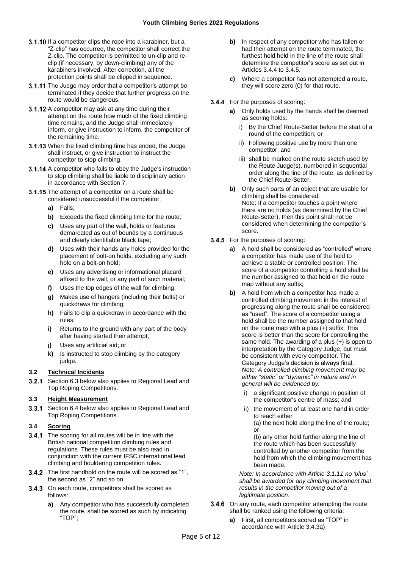- **3.1.10** If a competitor clips the rope into a karabiner, but a "Z-clip" has occurred, the competitor shall correct the Z-clip. The competitor is permitted to un-clip and reclip (if necessary, by down-climbing) any of the karabiners involved. After correction, all the protection points shall be clipped in sequence.
- <span id="page-4-3"></span>3.1.11 The Judge may order that a competitor's attempt be terminated if they decide that further progress on the route would be dangerous.
- 3.1.12 A competitor may ask at any time during their attempt on the route how much of the fixed climbing time remains, and the Judge shall immediately inform, or give instruction to inform, the competitor of the remaining time.
- 3.1.13 When the fixed climbing time has ended, the Judge shall instruct, or give instruction to instruct the competitor to stop climbing.
- <span id="page-4-6"></span>3.1.14 A competitor who fails to obey the Judge's instruction to stop climbing shall be liable to disciplinary action in accordance with Section 7.
- <span id="page-4-7"></span>3.1.15 The attempt of a competitor on a route shall be considered unsuccessful if the competitor:
	- **a)** Falls;
	- **b)** Exceeds the fixed climbing time for the route;
	- **c)** Uses any part of the wall, holds or features demarcated as out of bounds by a continuous and clearly identifiable black tape;
	- **d)** Uses with their hands any holes provided for the placement of bolt-on holds, excluding any such hole on a bolt-on hold;
	- **e)** Uses any advertising or informational placard affixed to the wall, or any part of such material;
	- **f)** Uses the top edges of the wall for climbing;
	- **g)** Makes use of hangers (including their bolts) or quickdraws for climbing;
	- **h)** Fails to clip a quickdraw in accordance with the rules;
	- **i)** Returns to the ground with any part of the body after having started their attempt;
	- **j)** Uses any artificial aid; or
	- **k)** Is instructed to stop climbing by the category judge.

#### <span id="page-4-0"></span>**3.2 Technical Incidents**

**3.2.1** Section 6.3 below also applies to Regional Lead and Top Roping Competitions.

# <span id="page-4-1"></span>**3.3 Height Measurement**

3.3.1 Section 6.4 below also applies to Regional Lead and Top Roping Competitions.

#### <span id="page-4-2"></span>**3.4 Scoring**

- **3.4.1** The scoring for all routes will be in line with the British national competition climbing rules and regulations. These rules must be also read in conjunction with the current IFSC international lead climbing and bouldering competition rules.
- **3.4.2** The first handhold on the route will be scored as "1", the second as "2" and so on.
- <span id="page-4-5"></span><span id="page-4-4"></span>3.4.3 On each route, competitors shall be scored as follows:
	- **a)** Any competitor who has successfully completed the route, shall be scored as such by indicating "TOP";
- **b)** In respect of any competitor who has fallen or had their attempt on the route terminated, the furthest hold held in the line of the route shall determine the competitor's score as set out in Articles 3.4.4 to 3.4.5.
- **c)** Where a competitor has not attempted a route, they will score zero (0) for that route.
- **3.4.4** For the purposes of scoring:
	- **a)** Only holds used by the hands shall be deemed as scoring holds:
		- i) By the Chief Route-Setter before the start of a round of the competition; or
		- ii) Following positive use by more than one competitor; and
		- iii) shall be marked on the route sketch used by the Route Judge(s), numbered in sequential order along the line of the route, as defined by the Chief Route-Setter.
	- **b)** Only such parts of an object that are usable for climbing shall be considered. Note: If a competitor touches a point where there are no holds (as determined by the Chief Route-Setter), then this point shall not be considered when determining the competitor's score.
- 3.4.5 For the purposes of scoring:
	- **a)** A hold shall be considered as "controlled" where a competitor has made use of the hold to achieve a stable or controlled position. The score of a competitor controlling a hold shall be the number assigned to that hold on the route map without any suffix;
	- **b)** A hold from which a competitor has made a controlled climbing movement in the interest of progressing along the route shall be considered as "used". The score of a competitor using a hold shall be the number assigned to that hold on the route map with a plus (+) suffix. This score is better than the score for controlling the same hold. The awarding of a plus (+) is open to interpretation by the Category Judge, but must be consistent with every competitor. The Category Judge's decision is always final. *Note: A controlled climbing movement may be either "static" or "dynamic" in nature and in general will be evidenced by:*
		- i) *a* significant positive change in position of the competitor's centre of mass; and
		- ii) the movement of at least one hand in order to reach either

(a) the next hold along the line of the route; or

(b) any other hold further along the line of the route which has been successfully controlled by another competitor from the hold from which the climbing movement has been made*.*

*Note: In accordance with Article [3.1.11](#page-4-3) no 'plus' shall be awarded for any climbing movement that results in the competitor moving out of a legitimate position*.

- **3.4.6** On any route, each competitor attempting the route shall be ranked using the following criteria:
	- **a)** First, all competitors scored as "TOP" in accordance with Article [3.4.3](#page-4-4)[a\)](#page-4-5)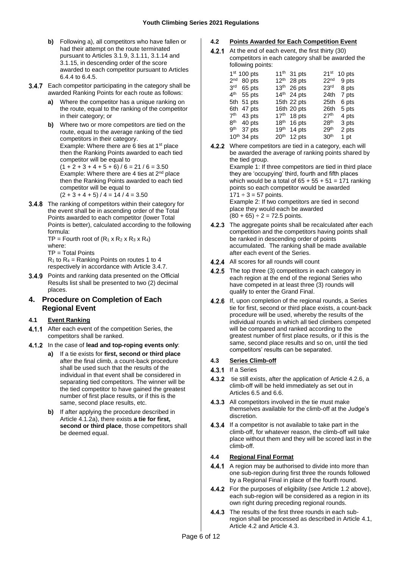- **b)** Following a), all competitors who have fallen or had their attempt on the route terminated pursuant to Articles [3.1.9,](#page-3-4) [3.1.11,](#page-4-3) [3.1.14](#page-4-6) and [3.1.15,](#page-4-7) in descending order of the score awarded to each competitor pursuant to Articles [6.4.4](#page-8-2) t[o 6.4.5.](#page-8-3)
- <span id="page-5-5"></span>3.4.7 Each competitor participating in the category shall be awarded Ranking Points for each route as follows:
	- **a)** Where the competitor has a unique ranking on the route, equal to the ranking of the competitor in their category; or
	- **b)** Where two or more competitors are tied on the route, equal to the average ranking of the tied competitors in their category. Example: Where there are 6 ties at  $1<sup>st</sup>$  place then the Ranking Points awarded to each tied competitor will be equal to  $(1 + 2 + 3 + 4 + 5 + 6) / 6 = 21 / 6 = 3.50$ Example: Where there are 4 ties at 2nd place then the Ranking Points awarded to each tied competitor will be equal to  $(2 + 3 + 4 + 5) / 4 = 14 / 4 = 3.50$
- 3.4.8 The ranking of competitors within their category for the event shall be in ascending order of the Total Points awarded to each competitor (lower Total Points is better), calculated according to the following formula: TP = Fourth root of  $(R_1 \times R_2 \times R_3 \times R_4)$

where: TP = Total Points  $R_1$  to  $R_4$  = Ranking Points on routes 1 to 4

respectively in accordance with Articl[e 3.4.7.](#page-5-5)

3.4.9 Points and ranking data presented on the Official Results list shall be presented to two (2) decimal places.

# <span id="page-5-0"></span>**4. Procedure on Completion of Each Regional Event**

# <span id="page-5-1"></span>**4.1 Event Ranking**

- 4.1.1 After each event of the competition Series, the competitors shall be ranked.
- <span id="page-5-6"></span>In the case of **lead and top-roping events only**:
	- **a)** If a tie exists for **first, second or third place** after the final climb, a count-back procedure shall be used such that the results of the individual in that event shall be considered in separating tied competitors. The winner will be the tied competitor to have gained the greatest number of first place results, or if this is the same, second place results, etc.
	- **b)** If after applying the procedure described in Article 4.1.[2a\),](#page-5-6) there exists **a tie for first, second or third place**, those competitors shall be deemed equal.

# <span id="page-5-2"></span>**4.2 Points Awarded for Each Competition Event**

 $4.2.1$ At the end of each event, the first thirty (30) competitors in each category shall be awarded the following points:

| 1 <sup>st</sup> 100 pts |        | 11 <sup>th</sup> 31 pts |  | 21 <sup>st</sup> | 10 pts       |
|-------------------------|--------|-------------------------|--|------------------|--------------|
| $2nd$ 80 pts            |        | $12th$ 28 pts           |  |                  | $22nd$ 9 pts |
| $3rd$ 65 pts            |        | 13 <sup>th</sup> 26 pts |  | 23 <sup>rd</sup> | 8 pts        |
| $4th$ 55 pts            |        | 14th 24 pts             |  | 24th             | 7 pts        |
| 5th 51 pts              |        | 15th 22 pts             |  | 25th             | 6 pts        |
| 6th 47 pts              |        | 16th 20 pts             |  | 26th             | 5 pts        |
| $7th$ 43 pts            |        | $17th$ 18 pts           |  | 27 <sup>th</sup> | 4 pts        |
| $8th$ 40 pts            |        | 18 <sup>th</sup> 16 pts |  | 28 <sup>th</sup> | 3 pts        |
| gth                     | 37 pts | 19th 14 pts             |  | 29 <sup>th</sup> | 2 pts        |
| 10 <sup>th</sup> 34 pts |        | $20th$ 12 pts           |  | 30 <sup>th</sup> | 1 pt         |
|                         |        |                         |  |                  |              |

- 4.2.2 Where competitors are tied in a category, each will be awarded the average of ranking points shared by the tied group. Example 1: If three competitors are tied in third place they are 'occupying' third, fourth and fifth places which would be a total of  $65 + 55 + 51 = 171$  ranking points so each competitor would be awarded  $171 \div 3 = 57$  points. Example 2: If two competitors are tied in second place they would each be awarded  $(80 + 65) \div 2 = 72.5$  points.
- 4.2.3 The aggregate points shall be recalculated after each competition and the competitors having points shall be ranked in descending order of points accumulated. The ranking shall be made available after each event of the Series.
- 4.2.4 All scores for all rounds will count
- 4.2.5 The top three (3) competitors in each category in each region at the end of the regional Series who have competed in at least three (3) rounds will qualify to enter the Grand Final.
- <span id="page-5-7"></span>4.2.6 If, upon completion of the regional rounds, a Series tie for first, second or third place exists, a count-back procedure will be used, whereby the results of the individual rounds in which all tied climbers competed will be compared and ranked according to the greatest number of first place results, or if this is the same, second place results and so on, until the tied competitors' results can be separated.

# <span id="page-5-3"></span>**4.3 Series Climb-off**

- 4.3.1 If a Series
- 4.3.2 tie still exists, after the application of Article [4.2.6,](#page-5-7) a climb-off will be held immediately as set out in Articles [6.5](#page-8-1) an[d 6.6.](#page-9-0)
- 4.3.3 All competitors involved in the tie must make themselves available for the climb-off at the Judge's discretion.
- $4.3.4$ If a competitor is not available to take part in the climb-off, for whatever reason, the climb-off will take place without them and they will be scored last in the climb-off.

# <span id="page-5-4"></span>**4.4 Regional Final Format**

- 4.4.1 A region may be authorised to divide into more than one sub-region during first three the rounds followed by a Regional Final in place of the fourth round.
- 4.4.2 For the purposes of eligibility (see Article 1.2 above), each sub-region will be considered as a region in its own right during preceding regional rounds.
- 4.4.3 The results of the first three rounds in each subregion shall be processed as described in Article [4.1,](#page-5-1) Articl[e 4.2](#page-5-2) and Articl[e 4.3.](#page-5-3)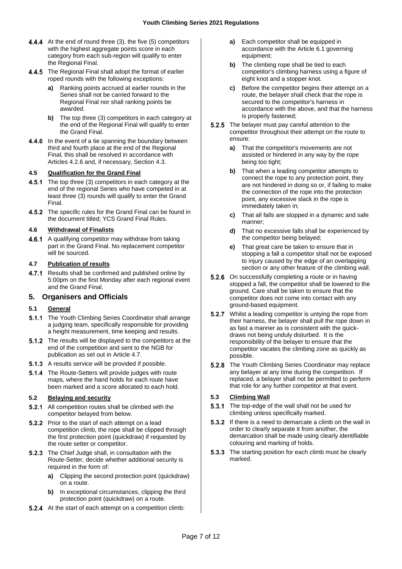- 4.4.4 At the end of round three (3), the five (5) competitors with the highest aggregate points score in each category from each sub-region will qualify to enter the Regional Final.
- 4.4.5 The Regional Final shall adopt the format of earlier roped rounds with the following exceptions:
	- **a)** Ranking points accrued at earlier rounds in the Series shall not be carried forward to the Regional Final nor shall ranking points be awarded.
	- **b)** The top three (3) competitors in each category at the end of the Regional Final will qualify to enter the Grand Final.
- 4.4.6 In the event of a tie spanning the boundary between third and fourth place at the end of the Regional Final, this shall be resolved in accordance with Articles [4.2.6](#page-5-7) and, if necessary, Section [4.3.](#page-5-3)

#### <span id="page-6-0"></span>**4.5 Qualification for the Grand Final**

- 4.5.1 The top three (3) competitors in each category at the end of the regional Series who have competed in at least three (3) rounds will qualify to enter the Grand Final.
- 4.5.2 The specific rules for the Grand Final can be found in the document titled; YCS Grand Final Rules.

#### <span id="page-6-1"></span>**4.6 Withdrawal of Finalists**

4.6.1 A qualifying competitor may withdraw from taking part in the Grand Final. No replacement competitor will be sourced.

#### <span id="page-6-2"></span>**4.7 Publication of results**

4.7.1 Results shall be confirmed and published online by 5:00pm on the first Monday after each regional event and the Grand Final.

# <span id="page-6-3"></span>**5. Organisers and Officials**

#### <span id="page-6-4"></span>**5.1 General**

- 5.1.1 The Youth Climbing Series Coordinator shall arrange a judging team, specifically responsible for providing a height measurement, time keeping and results.
- **5.1.2** The results will be displayed to the competitors at the end of the competition and sent to the NGB for publication as set out in Article [4.7.](#page-6-2)
- 5.1.3 A results service will be provided if possible.
- 5.1.4 The Route-Setters will provide judges with route maps, where the hand holds for each route have been marked and a score allocated to each hold.

# <span id="page-6-5"></span>**5.2 Belaying and security**

- 5.2.1 All competition routes shall be climbed with the competitor belayed from below.
- 5.2.2 Prior to the start of each attempt on a lead competition climb, the rope shall be clipped through the first protection point (quickdraw) if requested by the route setter or competitor.
- **5.2.3** The Chief Judge shall, in consultation with the Route-Setter, decide whether additional security is required in the form of:
	- **a)** Clipping the second protection point (quickdraw) on a route.
	- **b)** In exceptional circumstances, clipping the third protection point (quickdraw) on a route.
- 5.2.4 At the start of each attempt on a competition climb:
- **a)** Each competitor shall be equipped in accordance with the Article [6.1](#page-7-4) governing equipment;
- **b)** The climbing rope shall be tied to each competitor's climbing harness using a figure of eight knot and a stopper knot.
- **c)** Before the competitor begins their attempt on a route, the belayer shall check that the rope is secured to the competitor's harness in accordance with the above, and that the harness is properly fastened;
- 5.2.5 The belayer must pay careful attention to the competitor throughout their attempt on the route to ensure:
	- **a)** That the competitor's movements are not assisted or hindered in any way by the rope being too tight;
	- **b)** That when a leading competitor attempts to connect the rope to any protection point, they are not hindered in doing so or, if failing to make the connection of the rope into the protection point, any excessive slack in the rope is immediately taken in;
	- **c)** That all falls are stopped in a dynamic and safe manner;
	- **d)** That no excessive falls shall be experienced by the competitor being belayed;
	- **e)** That great care be taken to ensure that in stopping a fall a competitor shall not be exposed to injury caused by the edge of an overlapping section or any other feature of the climbing wall.
- 5.2.6 On successfully completing a route or in having stopped a fall, the competitor shall be lowered to the ground. Care shall be taken to ensure that the competitor does not come into contact with any ground-based equipment.
- $5.2.7$ Whilst a leading competitor is untying the rope from their harness, the belayer shall pull the rope down in as fast a manner as is consistent with the quickdraws not being unduly disturbed. It is the responsibility of the belayer to ensure that the competitor vacates the climbing zone as quickly as possible.
- 5.2.8 The Youth Climbing Series Coordinator may replace any belayer at any time during the competition. If replaced, a belayer shall not be permitted to perform that role for any further competitor at that event.

# <span id="page-6-6"></span>**5.3 Climbing Wall**

- $5.3.1$ The top-edge of the wall shall not be used for climbing unless specifically marked.
- 5.3.2 If there is a need to demarcate a climb on the wall in order to clearly separate it from another, the demarcation shall be made using clearly identifiable colouring and marking of holds.
- 5.3.3 The starting position for each climb must be clearly marked.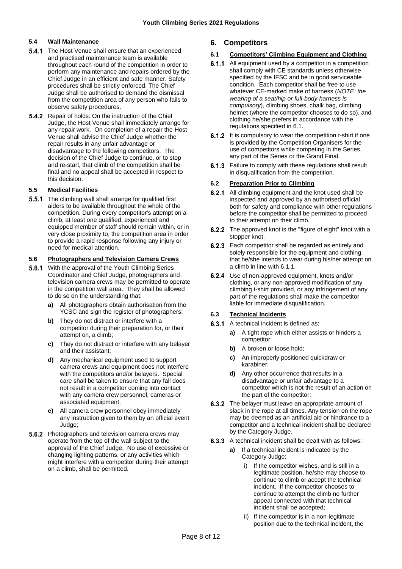#### <span id="page-7-0"></span>**5.4 Wall Maintenance**

- **5.4.1** The Host Venue shall ensure that an experienced and practised maintenance team is available throughout each round of the competition in order to perform any maintenance and repairs ordered by the Chief Judge in an efficient and safe manner. Safety procedures shall be strictly enforced. The Chief Judge shall be authorised to demand the dismissal from the competition area of any person who fails to observe safety procedures.
- **5.4.2** Repair of holds: On the instruction of the Chief Judge, the Host Venue shall immediately arrange for any repair work. On completion of a repair the Host Venue shall advise the Chief Judge whether the repair results in any unfair advantage or disadvantage to the following competitors. The decision of the Chief Judge to continue, or to stop and re-start, that climb of the competition shall be final and no appeal shall be accepted in respect to this decision.

#### <span id="page-7-1"></span>**5.5 Medical Facilities**

**5.5.1** The climbing wall shall arrange for qualified first aiders to be available throughout the whole of the competition. During every competitor's attempt on a climb, at least one qualified, experienced and equipped member of staff should remain within, or in very close proximity to, the competition area in order to provide a rapid response following any injury or need for medical attention.

#### <span id="page-7-2"></span>**5.6 Photographers and Television Camera Crews**

- **5.6.1** With the approval of the Youth Climbing Series Coordinator and Chief Judge, photographers and television camera crews may be permitted to operate in the competition wall area. They shall be allowed to do so on the understanding that:
	- **a)** All photographers obtain authorisation from the YCSC and sign the register of photographers;
	- **b)** They do not distract or interfere with a competitor during their preparation for, or their attempt on, a climb;
	- **c)** They do not distract or interfere with any belayer and their assistant;
	- **d)** Any mechanical equipment used to support camera crews and equipment does not interfere with the competitors and/or belayers. Special care shall be taken to ensure that any fall does not result in a competitor coming into contact with any camera crew personnel, cameras or associated equipment.
	- **e)** All camera crew personnel obey immediately any instruction given to them by an official event Judge;
- **5.6.2** Photographers and television camera crews may operate from the top of the wall subject to the approval of the Chief Judge. No use of excessive or changing lighting patterns, or any activities which might interfere with a competitor during their attempt on a climb, shall be permitted.

# <span id="page-7-3"></span>**6. Competitors**

#### <span id="page-7-4"></span>**6.1 Competitors' Climbing Equipment and Clothing**

- 6.1.1 All equipment used by a competitor in a competition shall comply with CE standards unless otherwise specified by the IFSC and be in good serviceable condition. Each competitor shall be free to use whatever CE-marked make of harness (*NOTE: the wearing of a seat/hip or full-body harness is compulsory*), climbing shoes, chalk bag, climbing helmet (where the competitor chooses to do so), and clothing he/she prefers in accordance with the regulations specified in [6.1.](#page-7-4)
- **6.1.2** It is compulsory to wear the competition t-shirt if one is provided by the Competition Organisers for the use of competitors while competing in the Series, any part of the Series or the Grand Final.
- 6.1.3 Failure to comply with these regulations shall result in disqualification from the competition.

#### <span id="page-7-5"></span>**6.2 Preparation Prior to Climbing**

- 6.2.1 All climbing equipment and the knot used shall be inspected and approved by an authorised official both for safety and compliance with other regulations before the competitor shall be permitted to proceed to their attempt on their climb.
- **6.2.2** The approved knot is the "figure of eight" knot with a stopper knot.
- **6.2.3** Each competitor shall be regarded as entirely and solely responsible for the equipment and clothing that he/she intends to wear during his/her attempt on a climb in line with 6.1.1.
- **6.2.4** Use of non-approved equipment, knots and/or clothing, or any non-approved modification of any climbing t-shirt provided, or any infringement of any part of the regulations shall make the competitor liable for immediate disqualification.

#### <span id="page-7-6"></span>**6.3 Technical Incidents**

- **6.3.1** A technical incident is defined as:
	- **a)** A tight rope which either assists or hinders a competitor;
	- **b)** A broken or loose hold;
	- **c)** An improperly positioned quickdraw or karabiner;
	- **d)** Any other occurrence that results in a disadvantage or unfair advantage to a competitor which is not the result of an action on the part of the competitor;
- **6.3.2** The belayer must leave an appropriate amount of slack in the rope at all times. Any tension on the rope may be deemed as an artificial aid or hindrance to a competitor and a technical incident shall be declared by the Category Judge.
- **6.3.3** A technical incident shall be dealt with as follows:
	- **a)** If a technical incident is indicated by the Category Judge:
		- i) If the competitor wishes, and is still in a legitimate position, he/she may choose to continue to climb or accept the technical incident. If the competitor chooses to continue to attempt the climb no further appeal connected with that technical incident shall be accepted;
		- ii) If the competitor is in a non-legitimate position due to the technical incident, the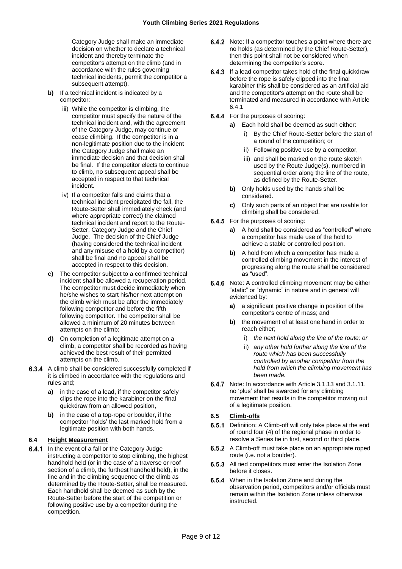Category Judge shall make an immediate decision on whether to declare a technical incident and thereby terminate the competitor's attempt on the climb (and in accordance with the rules governing technical incidents, permit the competitor a subsequent attempt).

- **b)** If a technical incident is indicated by a competitor:
	- iii) While the competitor is climbing, the competitor must specify the nature of the technical incident and, with the agreement of the Category Judge, may continue or cease climbing. If the competitor is in a non-legitimate position due to the incident the Category Judge shall make an immediate decision and that decision shall be final. If the competitor elects to continue to climb, no subsequent appeal shall be accepted in respect to that technical incident.
	- iv) If a competitor falls and claims that a technical incident precipitated the fall, the Route-Setter shall immediately check (and where appropriate correct) the claimed technical incident and report to the Route-Setter, Category Judge and the Chief Judge. The decision of the Chief Judge (having considered the technical incident and any misuse of a hold by a competitor) shall be final and no appeal shall be accepted in respect to this decision.
- **c)** The competitor subject to a confirmed technical incident shall be allowed a recuperation period. The competitor must decide immediately when he/she wishes to start his/her next attempt on the climb which must be after the immediately following competitor and before the fifth following competitor. The competitor shall be allowed a minimum of 20 minutes between attempts on the climb;
- **d)** On completion of a legitimate attempt on a climb, a competitor shall be recorded as having achieved the best result of their permitted attempts on the climb.
- <span id="page-8-5"></span>**6.3.4** A climb shall be considered successfully completed if it is climbed in accordance with the regulations and rules and;
	- **a)** in the case of a lead, if the competitor safely clips the rope into the karabiner on the final quickdraw from an allowed position,
	- **b)** in the case of a top-rope or boulder, if the competitor 'holds' the last marked hold from a legitimate position with both hands.

#### <span id="page-8-0"></span>**6.4 Height Measurement**

<span id="page-8-4"></span> $6.4.1$ In the event of a fall or the Category Judge instructing a competitor to stop climbing, the highest handhold held (or in the case of a traverse or roof section of a climb, the furthest handhold held), in the line and in the climbing sequence of the climb as determined by the Route-Setter, shall be measured. Each handhold shall be deemed as such by the Route-Setter before the start of the competition or following positive use by a competitor during the competition.

- **6.4.2** Note: If a competitor touches a point where there are no holds (as determined by the Chief Route-Setter), then this point shall not be considered when determining the competitor's score.
- $6.4.3$ If a lead competitor takes hold of the final quickdraw before the rope is safely clipped into the final karabiner this shall be considered as an artificial aid and the competitor's attempt on the route shall be terminated and measured in accordance with Article [6.4.1](#page-8-4)
- <span id="page-8-2"></span>**6.4.4** For the purposes of scoring:
	- **a)** Each hold shall be deemed as such either:
		- i) By the Chief Route-Setter before the start of a round of the competition; or
		- ii) Following positive use by a competitor,
		- iii) and shall be marked on the route sketch used by the Route Judge(s), numbered in sequential order along the line of the route, as defined by the Route-Setter.
	- **b)** Only holds used by the hands shall be considered.
	- **c)** Only such parts of an object that are usable for climbing shall be considered.
- <span id="page-8-3"></span>**6.4.5** For the purposes of scoring:
	- **a)** A hold shall be considered as "controlled" where a competitor has made use of the hold to achieve a stable or controlled position.
	- **b)** A hold from which a competitor has made a controlled climbing movement in the interest of progressing along the route shall be considered as "used".
- 6.4.6 Note: A controlled climbing movement may be either "static" or "dynamic" in nature and in general will evidenced by:
	- **a)** a significant positive change in position of the competitor's centre of mass; and
	- **b)** the movement of at least one hand in order to reach either;
		- i) *the next hold along the line of the route; or*
		- ii) *any other hold further along the line of the route which has been successfully controlled by another competitor from the hold from which the climbing movement has been made.*
- **6.4.7** Note: In accordance with Article 3.1.13 and 3.1.11, no 'plus' shall be awarded for any climbing movement that results in the competitor moving out of a legitimate position.

#### <span id="page-8-1"></span>**6.5 Climb-offs**

- $6.5.1$ Definition: A Climb-off will only take place at the end of round four (4) of the regional phase in order to resolve a Series tie in first, second or third place.
- $6.5.2$ A Climb-off must take place on an appropriate roped route (i.e. not a boulder).
- 6.5.3 All tied competitors must enter the Isolation Zone before it closes.
- **6.5.4** When in the Isolation Zone and during the observation period, competitors and/or officials must remain within the Isolation Zone unless otherwise instructed.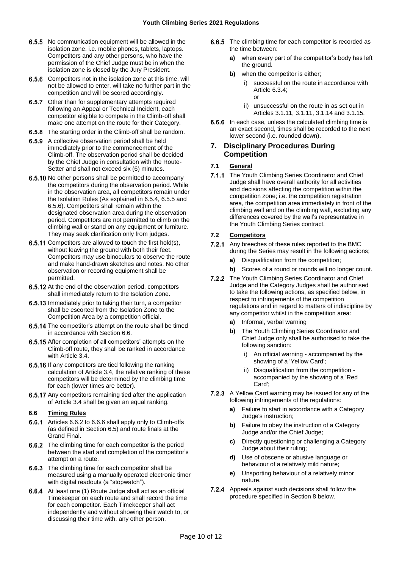- **6.5.5** No communication equipment will be allowed in the isolation zone. i.e. mobile phones, tablets, laptops. Competitors and any other persons, who have the permission of the Chief Judge must be in when the isolation zone is closed by the Jury President.
- **6.5.6** Competitors not in the isolation zone at this time, will not be allowed to enter, will take no further part in the competition and will be scored accordingly.
- 6.5.7 Other than for supplementary attempts required following an Appeal or Technical Incident, each competitor eligible to compete in the Climb-off shall make one attempt on the route for their Category.
- **6.5.8** The starting order in the Climb-off shall be random.
- 6.5.9 A collective observation period shall be held immediately prior to the commencement of the Climb-off. The observation period shall be decided by the Chief Judge in consultation with the Route-Setter and shall not exceed six (6) minutes.
- 6.5.10 No other persons shall be permitted to accompany the competitors during the observation period. While in the observation area, all competitors remain under the Isolation Rules (As explained in 6.5.4, 6.5.5 and 6.5.6). Competitors shall remain within the designated observation area during the observation period. Competitors are not permitted to climb on the climbing wall or stand on any equipment or furniture. They may seek clarification only from judges.
- **6.5.11** Competitors are allowed to touch the first hold(s), without leaving the ground with both their feet. Competitors may use binoculars to observe the route and make hand-drawn sketches and notes. No other observation or recording equipment shall be permitted.
- 6.5.12 At the end of the observation period, competitors shall immediately return to the Isolation Zone.
- 6.5.13 Immediately prior to taking their turn, a competitor shall be escorted from the Isolation Zone to the Competition Area by a competition official.
- 6.5.14 The competitor's attempt on the route shall be timed in accordance with Sectio[n 6.6.](#page-9-0)
- 6.5.15 After completion of all competitors' attempts on the Climb-off route, they shall be ranked in accordance with Article [3.4.](#page-4-2)
- 6.5.16 If any competitors are tied following the ranking calculation of Articl[e 3.4,](#page-4-2) the relative ranking of these competitors will be determined by the climbing time for each (lower times are better).
- 6.5.17 Any competitors remaining tied after the application of Articl[e 3.4](#page-4-2) shall be given an equal ranking.

#### <span id="page-9-0"></span>**6.6 Timing Rules**

- **6.6.1** Articles [6.6.2](#page-9-4) t[o 6.6.6](#page-9-5) shall apply only to Climb-offs (as defined in Section [6.5\)](#page-8-1) and route finals at the Grand Final.
- <span id="page-9-4"></span>**6.6.2** The climbing time for each competitor is the period between the start and completion of the competitor's attempt on a route.
- **6.6.3** The climbing time for each competitor shall be measured using a manually operated electronic timer with digital readouts (a "stopwatch").
- **6.6.4** At least one (1) Route Judge shall act as an official Timekeeper on each route and shall record the time for each competitor. Each Timekeeper shall act independently and without showing their watch to, or discussing their time with, any other person.
- **6.6.5** The climbing time for each competitor is recorded as the time between:
	- **a)** when every part of the competitor's body has left the ground.
	- **b)** when the competitor is either;
		- successful on the route in accordance with Article [6.3.4;](#page-8-5) or
		- ii) unsuccessful on the route in as set out in Articles [3.1.11,](#page-4-3) [3.1.11,](#page-4-3) [3.1.14](#page-4-6) and [3.1.15.](#page-4-7)
- <span id="page-9-5"></span>6.6.6 In each case, unless the calculated climbing time is an exact second, times shall be recorded to the next lower second (i.e. rounded down).

# <span id="page-9-1"></span>**7. Disciplinary Procedures During Competition**

# <span id="page-9-2"></span>**7.1 General**

7.1.1 The Youth Climbing Series Coordinator and Chief Judge shall have overall authority for all activities and decisions affecting the competition within the competition zone; i.e. the competition registration area, the competition area immediately in front of the climbing wall and on the climbing wall, excluding any differences covered by the wall's representative in the Youth Climbing Series contract.

#### <span id="page-9-3"></span>**7.2 Competitors**

- 7.2.1 Any breeches of these rules reported to the BMC during the Series may result in the following actions;
	- **a)** Disqualification from the competition;
	- **b)** Scores of a round or rounds will no longer count.
- 7.2.2 The Youth Climbing Series Coordinator and Chief Judge and the Category Judges shall be authorised to take the following actions, as specified below, in respect to infringements of the competition regulations and in regard to matters of indiscipline by any competitor whilst in the competition area:
	- **a)** Informal, verbal warning
	- **b)** The Youth Climbing Series Coordinator and Chief Judge only shall be authorised to take the following sanction:
		- i) An official warning accompanied by the showing of a 'Yellow Card';
		- ii) Disqualification from the competition accompanied by the showing of a 'Red Card';
- 7.2.3 A Yellow Card warning may be issued for any of the following infringements of the regulations:
	- **a)** Failure to start in accordance with a Category Judge's instruction;
	- **b)** Failure to obey the instruction of a Category Judge and/or the Chief Judge;
	- **c)** Directly questioning or challenging a Category Judge about their ruling;
	- **d)** Use of obscene or abusive language or behaviour of a relatively mild nature;
	- **e)** Unsporting behaviour of a relatively minor nature.
- **7.2.4** Appeals against such decisions shall follow the procedure specified in Section [8](#page-10-1) below.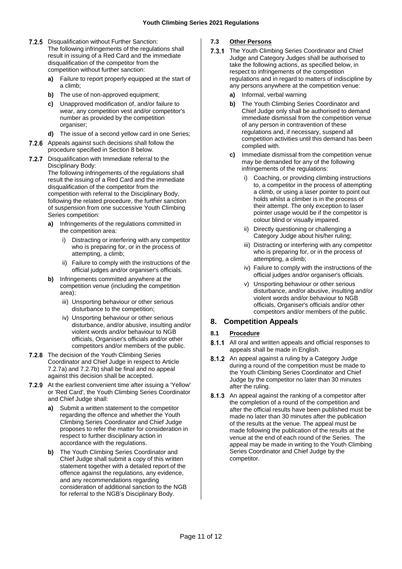- 7.2.5 Disqualification without Further Sanction: The following infringements of the regulations shall result in issuing of a Red Card and the immediate disqualification of the competitor from the competition without further sanction:
	- **a)** Failure to report properly equipped at the start of a climb;
	- **b)** The use of non-approved equipment;
	- **c)** Unapproved modification of, and/or failure to wear, any competition vest and/or competitor's number as provided by the competition organiser;
	- **d)** The issue of a second yellow card in one Series;
- 7.2.6 Appeals against such decisions shall follow the procedure specified in Section [8](#page-10-1) below.
- <span id="page-10-3"></span>7.2.7 Disqualification with Immediate referral to the Disciplinary Body: The following infringements of the regulations shall result the issuing of a Red Card and the immediate disqualification of the competitor from the competition with referral to the Disciplinary Body,

following the related procedure, the further sanction of suspension from one successive Youth Climbing Series competition:

- <span id="page-10-4"></span>**a)** Infringements of the regulations committed in the competition area:
	- i) Distracting or interfering with any competitor who is preparing for, or in the process of attempting, a climb;
	- ii) Failure to comply with the instructions of the official judges and/or organiser's officials.
- <span id="page-10-5"></span>**b)** Infringements committed anywhere at the competition venue (including the competition area):
	- iii) Unsporting behaviour or other serious disturbance to the competition;
	- iv) Unsporting behaviour or other serious disturbance, and/or abusive, insulting and/or violent words and/or behaviour to NGB officials, Organiser's officials and/or other competitors and/or members of the public.
- 7.2.8 The decision of the Youth Climbing Series Coordinator and Chief Judge in respect to Article [7.2.7](#page-10-3)[a\)](#page-10-4) and [7.2.7](#page-10-3)[b\)](#page-10-5) shall be final and no appeal against this decision shall be accepted.
- 7.2.9 At the earliest convenient time after issuing a 'Yellow' or 'Red Card', the Youth Climbing Series Coordinator and Chief Judge shall:
	- **a)** Submit a written statement to the competitor regarding the offence and whether the Youth Climbing Series Coordinator and Chief Judge proposes to refer the matter for consideration in respect to further disciplinary action in accordance with the regulations.
	- **b)** The Youth Climbing Series Coordinator and Chief Judge shall submit a copy of this written statement together with a detailed report of the offence against the regulations, any evidence, and any recommendations regarding consideration of additional sanction to the NGB for referral to the NGB's Disciplinary Body.

# <span id="page-10-0"></span>**7.3 Other Persons**

- $7.3.1$ The Youth Climbing Series Coordinator and Chief Judge and Category Judges shall be authorised to take the following actions, as specified below, in respect to infringements of the competition regulations and in regard to matters of indiscipline by any persons anywhere at the competition venue:
	- **a)** Informal, verbal warning
	- **b)** The Youth Climbing Series Coordinator and Chief Judge only shall be authorised to demand immediate dismissal from the competition venue of any person in contravention of these regulations and, if necessary, suspend all competition activities until this demand has been complied with.
	- **c)** Immediate dismissal from the competition venue may be demanded for any of the following infringements of the regulations:
		- Coaching, or providing climbing instructions to, a competitor in the process of attempting a climb, or using a laser pointer to point out holds whilst a climber is in the process of their attempt. The only exception to laser pointer usage would be if the competitor is colour blind or visually impaired.
		- ii) Directly questioning or challenging a Category Judge about his/her ruling;
		- iii) Distracting or interfering with any competitor who is preparing for, or in the process of attempting, a climb;
		- iv) Failure to comply with the instructions of the official judges and/or organiser's officials.
		- v) Unsporting behaviour or other serious disturbance, and/or abusive, insulting and/or violent words and/or behaviour to NGB officials, Organiser's officials and/or other competitors and/or members of the public.

# <span id="page-10-1"></span>**8. Competition Appeals**

# <span id="page-10-2"></span>**8.1 Procedure**

- 8.1.1 All oral and written appeals and official responses to appeals shall be made in English.
- 8.1.2 An appeal against a ruling by a Category Judge during a round of the competition must be made to the Youth Climbing Series Coordinator and Chief Judge by the competitor no later than 30 minutes after the ruling.
- 8.1.3 An appeal against the ranking of a competitor after the completion of a round of the competition and after the official results have been published must be made no later than 30 minutes after the publication of the results at the venue. The appeal must be made following the publication of the results at the venue at the end of each round of the Series. The appeal may be made in writing to the Youth Climbing Series Coordinator and Chief Judge by the competitor.